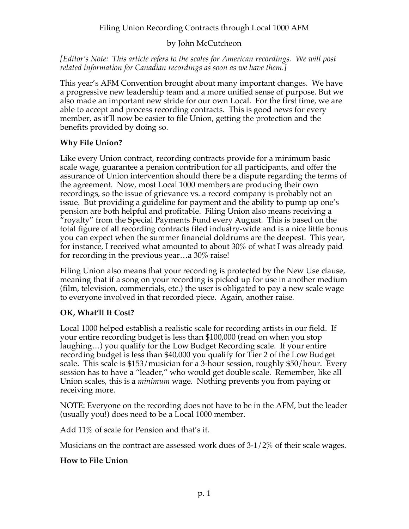# Filing Union Recording Contracts through Local 1000 AFM

### by John McCutcheon

*[Editor's Note: This article refers to the scales for American recordings. We will post related information for Canadian recordings as soon as we have them.]*

This year's AFM Convention brought about many important changes. We have a progressive new leadership team and a more unified sense of purpose. But we also made an important new stride for our own Local. For the first time, we are able to accept and process recording contracts. This is good news for every member, as it'll now be easier to file Union, getting the protection and the benefits provided by doing so.

#### **Why File Union?**

Like every Union contract, recording contracts provide for a minimum basic scale wage, guarantee a pension contribution for all participants, and offer the assurance of Union intervention should there be a dispute regarding the terms of the agreement. Now, most Local 1000 members are producing their own recordings, so the issue of grievance vs. a record company is probably not an issue. But providing a guideline for payment and the ability to pump up one's pension are both helpful and profitable. Filing Union also means receiving a "royalty" from the Special Payments Fund every August. This is based on the total figure of all recording contracts filed industry-wide and is a nice little bonus you can expect when the summer financial doldrums are the deepest. This year, for instance, I received what amounted to about 30% of what I was already paid for recording in the previous year…a 30% raise!

Filing Union also means that your recording is protected by the New Use clause, meaning that if a song on your recording is picked up for use in another medium (film, television, commercials, etc.) the user is obligated to pay a new scale wage to everyone involved in that recorded piece. Again, another raise.

# **OK, What'll It Cost?**

Local 1000 helped establish a realistic scale for recording artists in our field. If your entire recording budget is less than \$100,000 (read on when you stop laughing…) you qualify for the Low Budget Recording scale. If your entire recording budget is less than \$40,000 you qualify for Tier 2 of the Low Budget scale. This scale is \$153/musician for a 3-hour session, roughly \$50/hour. Every session has to have a "leader," who would get double scale. Remember, like all Union scales, this is a *minimum* wage. Nothing prevents you from paying or receiving more.

NOTE: Everyone on the recording does not have to be in the AFM, but the leader (usually you!) does need to be a Local 1000 member.

Add 11% of scale for Pension and that's it.

Musicians on the contract are assessed work dues of 3-1/2% of their scale wages.

#### **How to File Union**